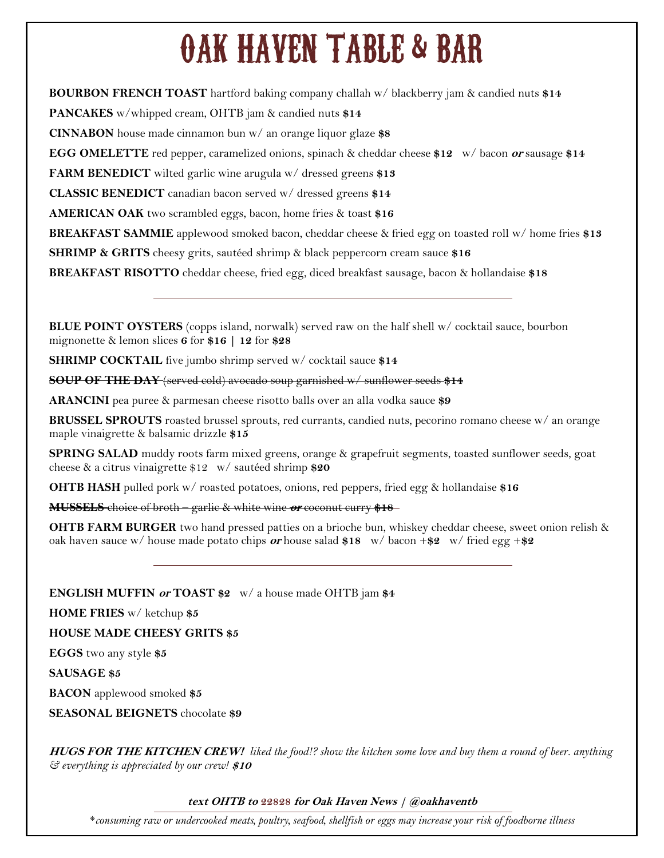# OAK HAVEN TABLE & BAR

**BOURBON FRENCH TOAST** hartford baking company challah w/ blackberry jam & candied nuts **\$14 PANCAKES** w/whipped cream, OHTB jam & candied nuts **\$14 CINNABON** house made cinnamon bun w/ an orange liquor glaze **\$8 EGG OMELETTE** red pepper, caramelized onions, spinach & cheddar cheese **\$12** w/ bacon **or** sausage **\$14 FARM BENEDICT** wilted garlic wine arugula w/ dressed greens **\$13 CLASSIC BENEDICT** canadian bacon served w/ dressed greens **\$14 AMERICAN OAK** two scrambled eggs, bacon, home fries & toast **\$16 BREAKFAST SAMMIE** applewood smoked bacon, cheddar cheese & fried egg on toasted roll w/ home fries **\$13 SHRIMP & GRITS** cheesy grits, sautéed shrimp & black peppercorn cream sauce \$16 **BREAKFAST RISOTTO** cheddar cheese, fried egg, diced breakfast sausage, bacon & hollandaise **\$18**

**BLUE POINT OYSTERS** (copps island, norwalk) served raw on the half shell w/ cocktail sauce, bourbon mignonette & lemon slices **6** for **\$16 | 12** for **\$28**

**SHRIMP COCKTAIL** five jumbo shrimp served w/ cocktail sauce **\$14**

**SOUP OF THE DAY** (served cold) avocado soup garnished w/ sunflower seeds **\$14**

**ARANCINI** pea puree & parmesan cheese risotto balls over an alla vodka sauce **\$9**

**BRUSSEL SPROUTS** roasted brussel sprouts, red currants, candied nuts, pecorino romano cheese w/ an orange maple vinaigrette & balsamic drizzle **\$15**

**SPRING SALAD** muddy roots farm mixed greens, orange & grapefruit segments, toasted sunflower seeds, goat cheese & a citrus vinaigrette \$12 w/ sautéed shrimp **\$20**

**OHTB HASH** pulled pork w/ roasted potatoes, onions, red peppers, fried egg & hollandaise **\$16**

**MUSSELS** choice of broth – garlic & white wine **or** coconut curry **\$18**

**OHTB FARM BURGER** two hand pressed patties on a brioche bun, whiskey cheddar cheese, sweet onion relish & oak haven sauce w/ house made potato chips **or** house salad **\$18** w/ bacon +**\$2** w/ fried egg +**\$2**

**ENGLISH MUFFIN or TOAST \$2** w/ a house made OHTB jam **\$4**

**HOME FRIES** w/ ketchup **\$5**

**HOUSE MADE CHEESY GRITS \$5**

**EGGS** two any style **\$5**

**SAUSAGE \$5**

**BACON** applewood smoked **\$5**

**SEASONAL BEIGNETS** chocolate **\$9**

**HUGS FOR THE KITCHEN CREW!** *liked the food!? show the kitchen some love and buy them a round of beer. anything & everything is appreciated by our crew!* **\$10**

#### **text OHTB to 22828 for Oak Haven News | @oakhaventb**

\**consuming raw or undercooked meats, poultry, seafood, shellfish or eggs may increase your risk of foodborne illness*